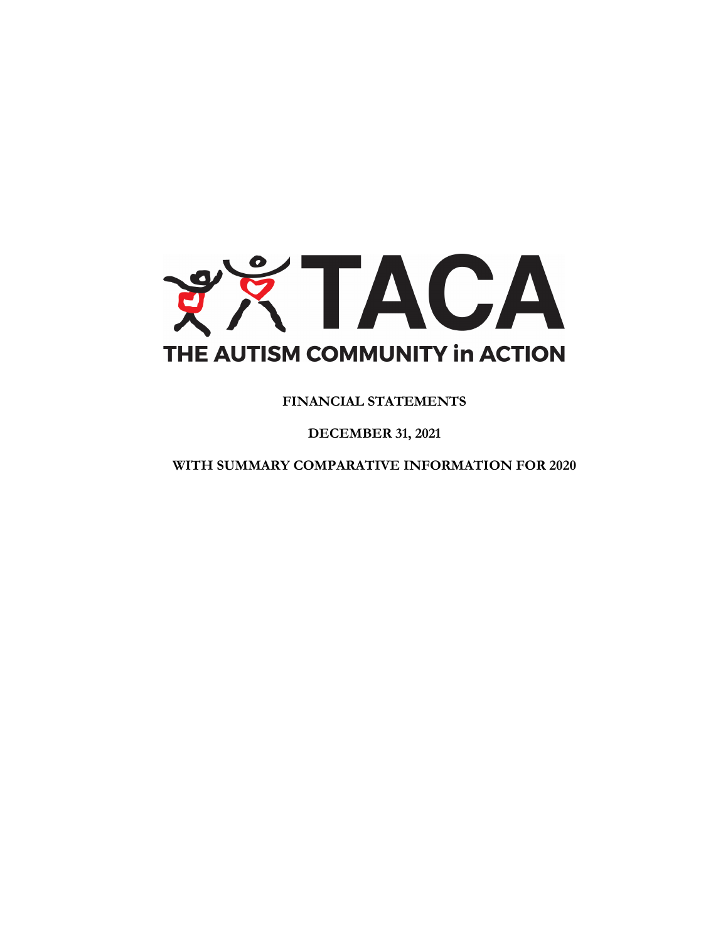

**FINANCIAL STATEMENTS**

**DECEMBER 31, 2021**

**WITH SUMMARY COMPARATIVE INFORMATION FOR 2020**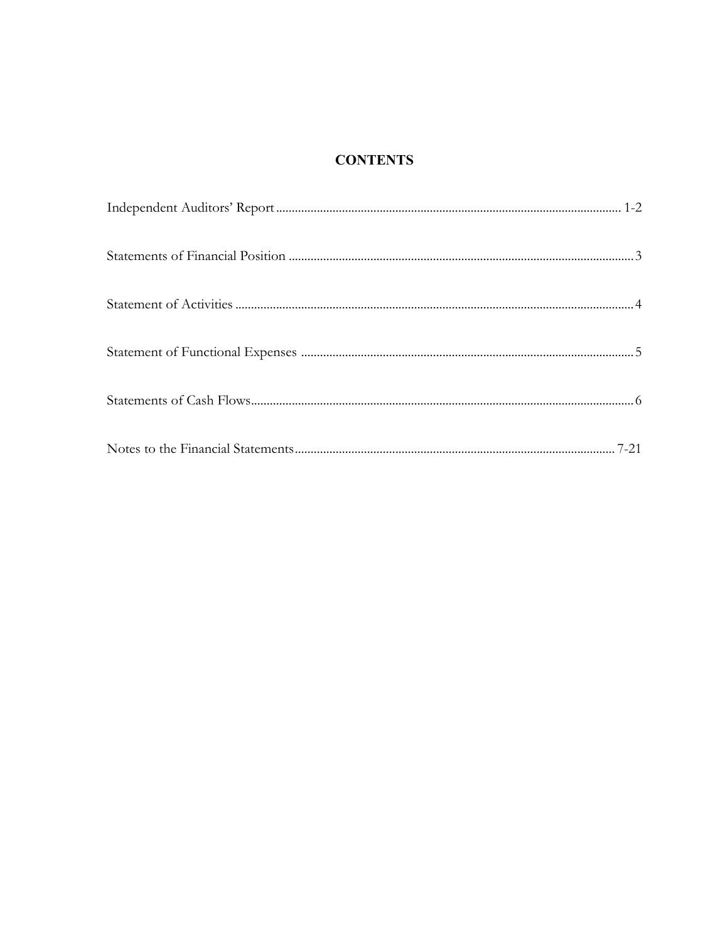# **CONTENTS**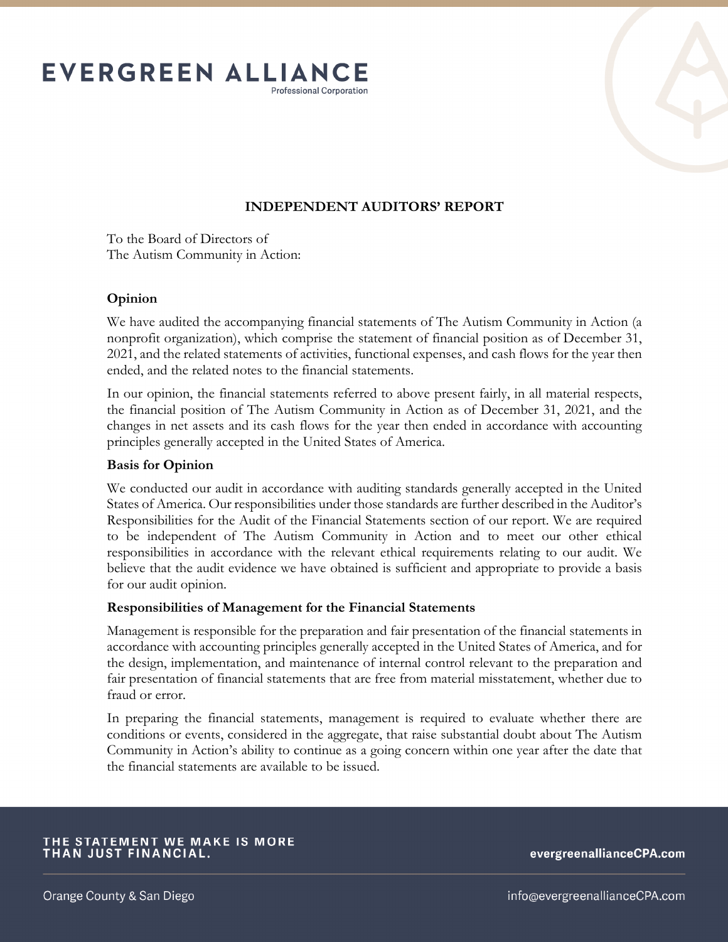



### **INDEPENDENT AUDITORS' REPORT**

To the Board of Directors of The Autism Community in Action:

#### **Opinion**

We have audited the accompanying financial statements of The Autism Community in Action (a nonprofit organization), which comprise the statement of financial position as of December 31, 2021, and the related statements of activities, functional expenses, and cash flows for the year then ended, and the related notes to the financial statements.

In our opinion, the financial statements referred to above present fairly, in all material respects, the financial position of The Autism Community in Action as of December 31, 2021, and the changes in net assets and its cash flows for the year then ended in accordance with accounting principles generally accepted in the United States of America.

#### **Basis for Opinion**

We conducted our audit in accordance with auditing standards generally accepted in the United States of America. Our responsibilities under those standards are further described in the Auditor's Responsibilities for the Audit of the Financial Statements section of our report. We are required to be independent of The Autism Community in Action and to meet our other ethical responsibilities in accordance with the relevant ethical requirements relating to our audit. We believe that the audit evidence we have obtained is sufficient and appropriate to provide a basis for our audit opinion.

#### **Responsibilities of Management for the Financial Statements**

Management is responsible for the preparation and fair presentation of the financial statements in accordance with accounting principles generally accepted in the United States of America, and for the design, implementation, and maintenance of internal control relevant to the preparation and fair presentation of financial statements that are free from material misstatement, whether due to fraud or error.

In preparing the financial statements, management is required to evaluate whether there are conditions or events, considered in the aggregate, that raise substantial doubt about The Autism Community in Action's ability to continue as a going concern within one year after the date that the financial statements are available to be issued.

#### THE STATEMENT WE MAKE IS MORE HAN JUST FINANCIAL.

evergreenallianceCPA.com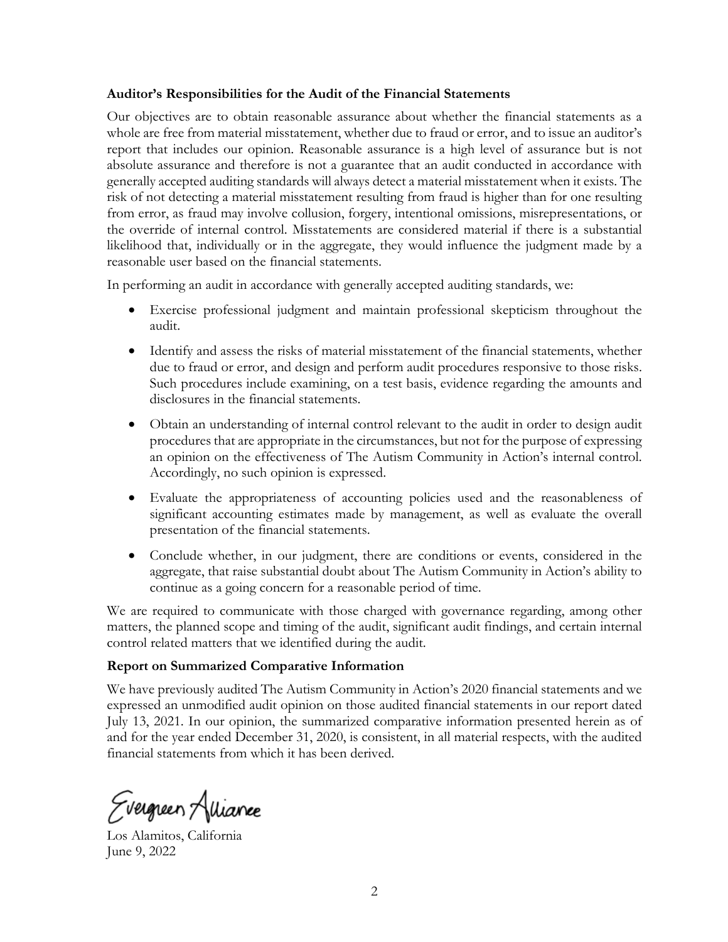### **Auditor's Responsibilities for the Audit of the Financial Statements**

Our objectives are to obtain reasonable assurance about whether the financial statements as a whole are free from material misstatement, whether due to fraud or error, and to issue an auditor's report that includes our opinion. Reasonable assurance is a high level of assurance but is not absolute assurance and therefore is not a guarantee that an audit conducted in accordance with generally accepted auditing standards will always detect a material misstatement when it exists. The risk of not detecting a material misstatement resulting from fraud is higher than for one resulting from error, as fraud may involve collusion, forgery, intentional omissions, misrepresentations, or the override of internal control. Misstatements are considered material if there is a substantial likelihood that, individually or in the aggregate, they would influence the judgment made by a reasonable user based on the financial statements.

In performing an audit in accordance with generally accepted auditing standards, we:

- Exercise professional judgment and maintain professional skepticism throughout the audit.
- Identify and assess the risks of material misstatement of the financial statements, whether due to fraud or error, and design and perform audit procedures responsive to those risks. Such procedures include examining, on a test basis, evidence regarding the amounts and disclosures in the financial statements.
- Obtain an understanding of internal control relevant to the audit in order to design audit procedures that are appropriate in the circumstances, but not for the purpose of expressing an opinion on the effectiveness of The Autism Community in Action's internal control. Accordingly, no such opinion is expressed.
- Evaluate the appropriateness of accounting policies used and the reasonableness of significant accounting estimates made by management, as well as evaluate the overall presentation of the financial statements.
- Conclude whether, in our judgment, there are conditions or events, considered in the aggregate, that raise substantial doubt about The Autism Community in Action's ability to continue as a going concern for a reasonable period of time.

We are required to communicate with those charged with governance regarding, among other matters, the planned scope and timing of the audit, significant audit findings, and certain internal control related matters that we identified during the audit.

### **Report on Summarized Comparative Information**

We have previously audited The Autism Community in Action's 2020 financial statements and we expressed an unmodified audit opinion on those audited financial statements in our report dated July 13, 2021. In our opinion, the summarized comparative information presented herein as of and for the year ended December 31, 2020, is consistent, in all material respects, with the audited financial statements from which it has been derived.

Evergreen Arriance

Los Alamitos, California June 9, 2022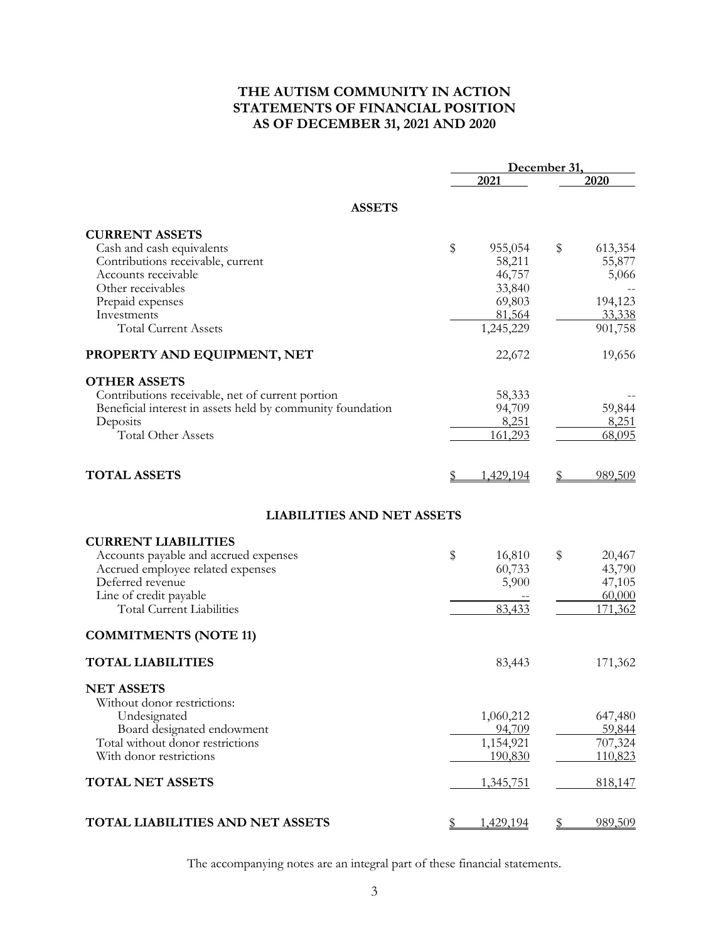## **THE AUTISM COMMUNITY IN ACTION STATEMENTS OF FINANCIAL POSITION AS OF DECEMBER 31, 2021 AND 2020**

|                                                            | December 31, |           |    |         |
|------------------------------------------------------------|--------------|-----------|----|---------|
|                                                            |              | 2021      |    | 2020    |
| <b>ASSETS</b>                                              |              |           |    |         |
| <b>CURRENT ASSETS</b>                                      |              |           |    |         |
| Cash and cash equivalents                                  | \$           | 955,054   | \$ | 613,354 |
| Contributions receivable, current                          |              | 58,211    |    | 55,877  |
| Accounts receivable                                        |              | 46,757    |    | 5,066   |
| Other receivables                                          |              | 33,840    |    |         |
| Prepaid expenses                                           |              | 69,803    |    | 194,123 |
| Investments                                                |              | 81,564    |    | 33,338  |
| <b>Total Current Assets</b>                                |              | 1,245,229 |    | 901,758 |
| PROPERTY AND EQUIPMENT, NET                                |              | 22,672    |    | 19,656  |
| <b>OTHER ASSETS</b>                                        |              |           |    |         |
| Contributions receivable, net of current portion           |              | 58,333    |    |         |
| Beneficial interest in assets held by community foundation |              | 94,709    |    | 59,844  |
| Deposits                                                   |              | 8,251     |    | 8,251   |
| <b>Total Other Assets</b>                                  |              | 161,293   |    | 68,095  |
|                                                            |              |           |    |         |
| <b>TOTAL ASSETS</b>                                        |              | 1,429,194 |    | 989,509 |
| <b>LIABILITIES AND NET ASSETS</b>                          |              |           |    |         |
| <b>CURRENT LIABILITIES</b>                                 |              |           |    |         |
| Accounts payable and accrued expenses                      | \$           | 16,810    | \$ | 20,467  |
| Accrued employee related expenses                          |              | 60,733    |    | 43,790  |
| Deferred revenue                                           |              | 5,900     |    | 47,105  |
| Line of credit payable                                     |              |           |    | 60,000  |
| <b>Total Current Liabilities</b>                           |              | 83,433    |    | 171,362 |
| <b>COMMITMENTS (NOTE 11)</b>                               |              |           |    |         |
| <b>TOTAL LIABILITIES</b>                                   |              | 83,443    |    | 171,362 |
| <b>NET ASSETS</b>                                          |              |           |    |         |
| Without donor restrictions:                                |              |           |    |         |
| Undesignated                                               |              | 1,060,212 |    | 647,480 |
| Board designated endowment                                 |              | 94,709    |    | 59,844  |
| Total without donor restrictions                           |              | 1,154,921 |    | 707,324 |
| With donor restrictions                                    |              | 190,830   |    | 110,823 |
| <b>TOTAL NET ASSETS</b>                                    |              | 1,345,751 |    | 818,147 |
| <b>TOTAL LIABILITIES AND NET ASSETS</b>                    |              | 1,429,194 | \$ | 989,509 |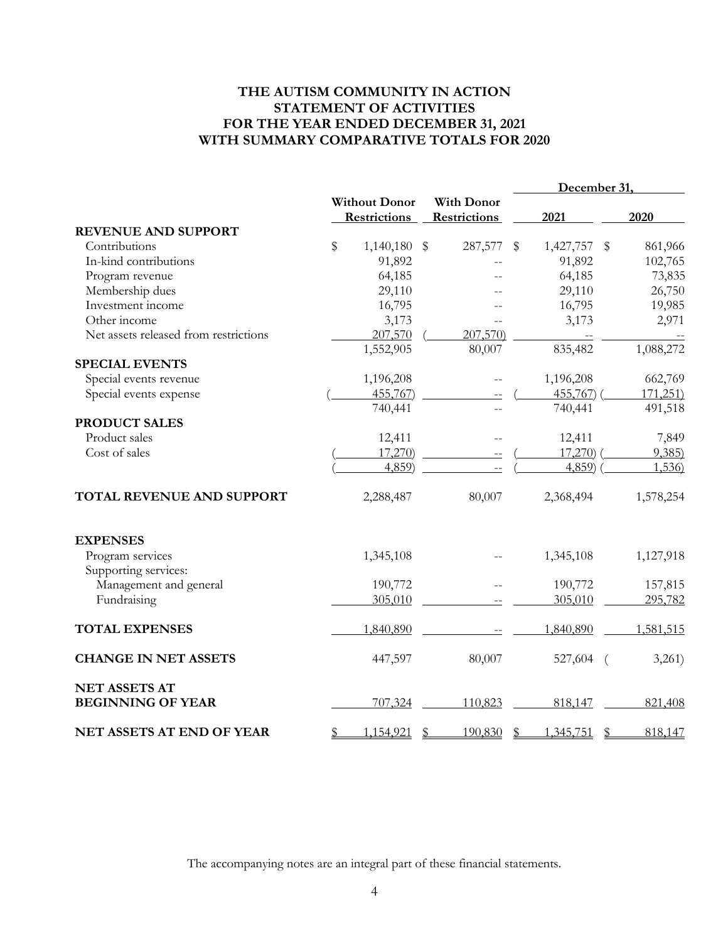### **THE AUTISM COMMUNITY IN ACTION STATEMENT OF ACTIVITIES FOR THE YEAR ENDED DECEMBER 31, 2021 WITH SUMMARY COMPARATIVE TOTALS FOR 2020**

|                                       |    |                                             |    |                                          | December 31,    |               |           |  |
|---------------------------------------|----|---------------------------------------------|----|------------------------------------------|-----------------|---------------|-----------|--|
|                                       |    | <b>Without Donor</b><br><b>Restrictions</b> |    | <b>With Donor</b><br><b>Restrictions</b> | 2021            |               | 2020      |  |
| <b>REVENUE AND SUPPORT</b>            |    |                                             |    |                                          |                 |               |           |  |
| Contributions                         | \$ | 1,140,180                                   | \$ | 287,577                                  | \$<br>1,427,757 | \$            | 861,966   |  |
| In-kind contributions                 |    | 91,892                                      |    |                                          | 91,892          |               | 102,765   |  |
| Program revenue                       |    | 64,185                                      |    |                                          | 64,185          |               | 73,835    |  |
| Membership dues                       |    | 29,110                                      |    |                                          | 29,110          |               | 26,750    |  |
| Investment income                     |    | 16,795                                      |    |                                          | 16,795          |               | 19,985    |  |
| Other income                          |    | 3,173                                       |    |                                          | 3,173           |               | 2,971     |  |
| Net assets released from restrictions |    | 207,570                                     |    | 207,570)                                 |                 |               | $- \, -$  |  |
|                                       |    | 1,552,905                                   |    | 80,007                                   | 835,482         |               | 1,088,272 |  |
| <b>SPECIAL EVENTS</b>                 |    |                                             |    |                                          |                 |               |           |  |
| Special events revenue                |    | 1,196,208                                   |    |                                          | 1,196,208       |               | 662,769   |  |
| Special events expense                |    | 455,767)                                    |    |                                          | 455,767)        |               | 171,251)  |  |
|                                       |    | 740,441                                     |    | $-$                                      | 740,441         |               | 491,518   |  |
| <b>PRODUCT SALES</b>                  |    |                                             |    |                                          |                 |               |           |  |
| Product sales                         |    | 12,411                                      |    |                                          | 12,411          |               | 7,849     |  |
| Cost of sales                         |    | 17,270)                                     |    |                                          | 17,270)         |               | 9,385     |  |
|                                       |    | 4,859                                       |    |                                          | 4,859           |               | 1,536     |  |
| <b>TOTAL REVENUE AND SUPPORT</b>      |    | 2,288,487                                   |    | 80,007                                   | 2,368,494       |               | 1,578,254 |  |
| <b>EXPENSES</b>                       |    |                                             |    |                                          |                 |               |           |  |
| Program services                      |    | 1,345,108                                   |    |                                          | 1,345,108       |               | 1,127,918 |  |
| Supporting services:                  |    |                                             |    |                                          |                 |               |           |  |
| Management and general                |    | 190,772                                     |    |                                          | 190,772         |               | 157,815   |  |
| Fundraising                           |    | 305,010                                     |    |                                          | 305,010         |               | 295,782   |  |
| <b>TOTAL EXPENSES</b>                 |    | 1,840,890                                   |    |                                          | 1,840,890       |               | 1,581,515 |  |
| <b>CHANGE IN NET ASSETS</b>           |    | 447,597                                     |    | 80,007                                   | 527,604         | $\left($      | 3,261)    |  |
| <b>NET ASSETS AT</b>                  |    |                                             |    |                                          |                 |               |           |  |
| <b>BEGINNING OF YEAR</b>              |    | 707,324                                     |    | 110,823                                  | 818,147         |               | 821,408   |  |
| NET ASSETS AT END OF YEAR             | \$ | 1,154,921                                   | S  | 190,830                                  | \$<br>1,345,751 | $\frac{1}{2}$ | 818,147   |  |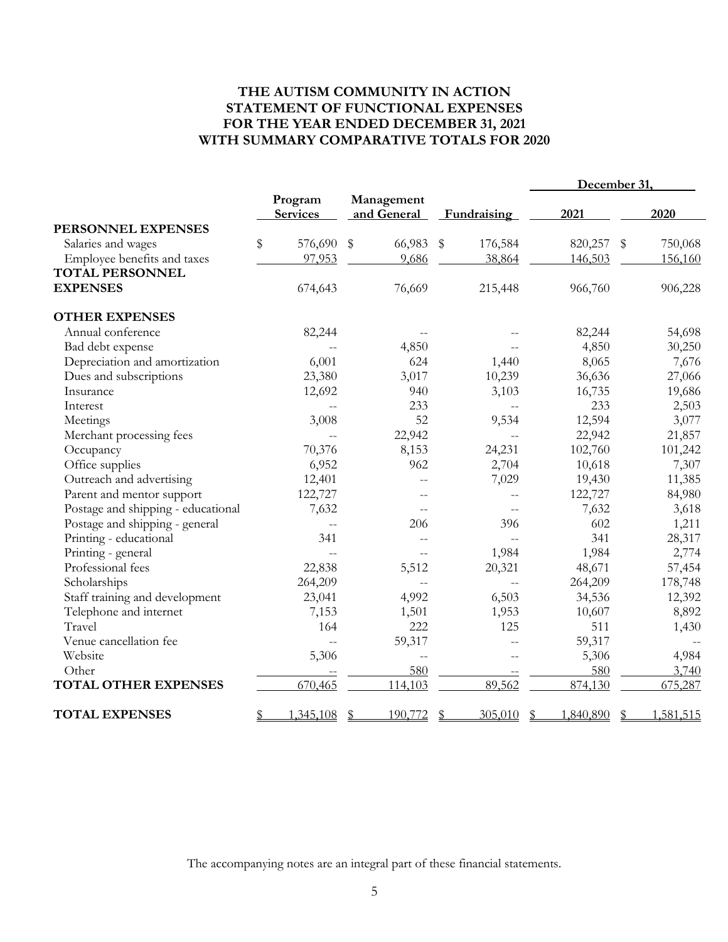### **THE AUTISM COMMUNITY IN ACTION STATEMENT OF FUNCTIONAL EXPENSES FOR THE YEAR ENDED DECEMBER 31, 2021 WITH SUMMARY COMPARATIVE TOTALS FOR 2020**

|                                    |    |                            |              |                           |                         |                          |   | December 31, |    |           |  |
|------------------------------------|----|----------------------------|--------------|---------------------------|-------------------------|--------------------------|---|--------------|----|-----------|--|
|                                    |    | Program<br><b>Services</b> |              | Management<br>and General |                         | Fundraising              |   | 2021         |    | 2020      |  |
| PERSONNEL EXPENSES                 |    |                            |              |                           |                         |                          |   |              |    |           |  |
| Salaries and wages                 | \$ | 576,690                    | $\mathbb{S}$ | 66,983                    | $\sqrt[6]{\frac{1}{2}}$ | 176,584                  |   | 820,257      | \$ | 750,068   |  |
| Employee benefits and taxes        |    | 97,953                     |              | 9,686                     |                         | 38,864                   |   | 146,503      |    | 156,160   |  |
| <b>TOTAL PERSONNEL</b>             |    |                            |              |                           |                         |                          |   |              |    |           |  |
| <b>EXPENSES</b>                    |    | 674,643                    |              | 76,669                    |                         | 215,448                  |   | 966,760      |    | 906,228   |  |
| <b>OTHER EXPENSES</b>              |    |                            |              |                           |                         |                          |   |              |    |           |  |
| Annual conference                  |    | 82,244                     |              |                           |                         |                          |   | 82,244       |    | 54,698    |  |
| Bad debt expense                   |    |                            |              | 4,850                     |                         |                          |   | 4,850        |    | 30,250    |  |
| Depreciation and amortization      |    | 6,001                      |              | 624                       |                         | 1,440                    |   | 8,065        |    | 7,676     |  |
| Dues and subscriptions             |    | 23,380                     |              | 3,017                     |                         | 10,239                   |   | 36,636       |    | 27,066    |  |
| Insurance                          |    | 12,692                     |              | 940                       |                         | 3,103                    |   | 16,735       |    | 19,686    |  |
| Interest                           |    |                            |              | 233                       |                         |                          |   | 233          |    | 2,503     |  |
| Meetings                           |    | 3,008                      |              | 52                        |                         | 9,534                    |   | 12,594       |    | 3,077     |  |
| Merchant processing fees           |    |                            |              | 22,942                    |                         |                          |   | 22,942       |    | 21,857    |  |
| Occupancy                          |    | 70,376                     |              | 8,153                     |                         | 24,231                   |   | 102,760      |    | 101,242   |  |
| Office supplies                    |    | 6,952                      |              | 962                       |                         | 2,704                    |   | 10,618       |    | 7,307     |  |
| Outreach and advertising           |    | 12,401                     |              |                           |                         | 7,029                    |   | 19,430       |    | 11,385    |  |
| Parent and mentor support          |    | 122,727                    |              |                           |                         | $\qquad \qquad -$        |   | 122,727      |    | 84,980    |  |
| Postage and shipping - educational |    | 7,632                      |              |                           |                         | $\overline{a}$           |   | 7,632        |    | 3,618     |  |
| Postage and shipping - general     |    | $-$                        |              | 206                       |                         | 396                      |   | 602          |    | 1,211     |  |
| Printing - educational             |    | 341                        |              | $\sim$                    |                         | $\overline{\phantom{a}}$ |   | 341          |    | 28,317    |  |
| Printing - general                 |    | $-$                        |              | $-$                       |                         | 1,984                    |   | 1,984        |    | 2,774     |  |
| Professional fees                  |    | 22,838                     |              | 5,512                     |                         | 20,321                   |   | 48,671       |    | 57,454    |  |
| Scholarships                       |    | 264,209                    |              | $- -$                     |                         | $\overline{a}$           |   | 264,209      |    | 178,748   |  |
| Staff training and development     |    | 23,041                     |              | 4,992                     |                         | 6,503                    |   | 34,536       |    | 12,392    |  |
| Telephone and internet             |    | 7,153                      |              | 1,501                     |                         | 1,953                    |   | 10,607       |    | 8,892     |  |
| Travel                             |    | 164                        |              | 222                       |                         | 125                      |   | 511          |    | 1,430     |  |
| Venue cancellation fee             |    | $-$                        |              | 59,317                    |                         |                          |   | 59,317       |    |           |  |
| Website                            |    | 5,306                      |              | $\overline{a}$            |                         |                          |   | 5,306        |    | 4,984     |  |
| Other                              |    |                            |              | 580                       |                         |                          |   | 580          |    | 3,740     |  |
| <b>TOTAL OTHER EXPENSES</b>        |    | 670,465                    |              | 114,103                   |                         | 89,562                   |   | 874,130      |    | 675,287   |  |
| <b>TOTAL EXPENSES</b>              | \$ | 1,345,108                  | S            | 190,772                   | \$                      | 305,010                  | S | 1,840,890    | S  | 1,581,515 |  |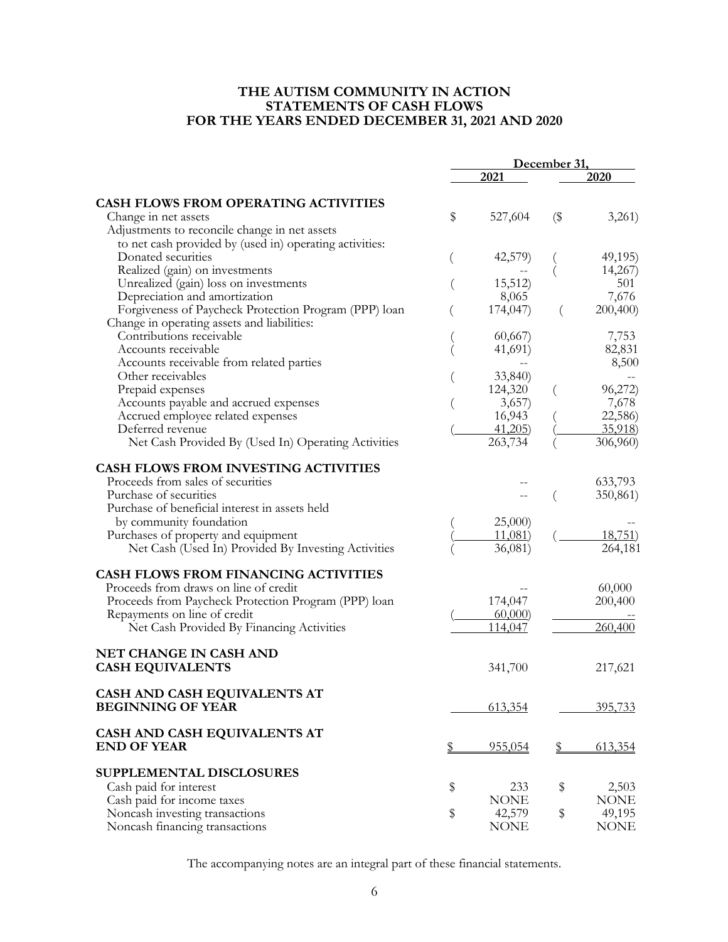### **THE AUTISM COMMUNITY IN ACTION STATEMENTS OF CASH FLOWS FOR THE YEARS ENDED DECEMBER 31, 2021 AND 2020**

|                                                         | December 31, |             |     |                |
|---------------------------------------------------------|--------------|-------------|-----|----------------|
|                                                         |              | 2021        |     | 2020           |
| <b>CASH FLOWS FROM OPERATING ACTIVITIES</b>             |              |             |     |                |
|                                                         |              |             |     |                |
| Change in net assets                                    | \$           | 527,604     | (\$ | 3,261)         |
| Adjustments to reconcile change in net assets           |              |             |     |                |
| to net cash provided by (used in) operating activities: |              |             |     |                |
| Donated securities                                      |              | 42,579)     |     | 49,195         |
| Realized (gain) on investments                          |              |             |     | 14,267         |
| Unrealized (gain) loss on investments                   |              | 15,512)     |     | 501            |
| Depreciation and amortization                           |              | 8,065       |     | 7,676          |
| Forgiveness of Paycheck Protection Program (PPP) loan   |              | 174,047)    |     | 200,400)       |
| Change in operating assets and liabilities:             |              |             |     |                |
| Contributions receivable                                |              | 60,667      |     | 7,753          |
| Accounts receivable                                     |              | 41,691)     |     | 82,831         |
| Accounts receivable from related parties                |              |             |     | 8,500          |
| Other receivables                                       |              | 33,840)     |     |                |
| Prepaid expenses                                        |              | 124,320     |     | 96,272)        |
| Accounts payable and accrued expenses                   |              | 3,657       |     | 7,678          |
| Accrued employee related expenses                       |              | 16,943      |     | 22,586)        |
|                                                         |              |             |     |                |
| Deferred revenue                                        |              | 41,205      |     | 35,918)        |
| Net Cash Provided By (Used In) Operating Activities     |              | 263,734     |     | 306,960)       |
| <b>CASH FLOWS FROM INVESTING ACTIVITIES</b>             |              |             |     |                |
| Proceeds from sales of securities                       |              |             |     | 633,793        |
| Purchase of securities                                  |              |             |     | 350,861)       |
| Purchase of beneficial interest in assets held          |              |             |     |                |
| by community foundation                                 |              | 25,000      |     |                |
| Purchases of property and equipment                     |              | 11,081      |     | 18,751)        |
| Net Cash (Used In) Provided By Investing Activities     |              | 36,081)     |     | 264,181        |
|                                                         |              |             |     |                |
| <b>CASH FLOWS FROM FINANCING ACTIVITIES</b>             |              |             |     |                |
| Proceeds from draws on line of credit                   |              |             |     | 60,000         |
| Proceeds from Paycheck Protection Program (PPP) loan    |              | 174,047     |     | 200,400        |
| Repayments on line of credit                            |              | 60,000      |     |                |
| Net Cash Provided By Financing Activities               |              | 114,047     |     | 260,400        |
|                                                         |              |             |     |                |
| NET CHANGE IN CASH AND                                  |              |             |     |                |
| <b>CASH EQUIVALENTS</b>                                 |              | 341,700     |     | 217,621        |
| CASH AND CASH EQUIVALENTS AT                            |              |             |     |                |
| <b>BEGINNING OF YEAR</b>                                |              | 613,354     |     | <u>395,733</u> |
|                                                         |              |             |     |                |
| <b>CASH AND CASH EQUIVALENTS AT</b>                     |              |             |     |                |
| <b>END OF YEAR</b>                                      | \$           | 955,054     | \$  | 613,354        |
| <b>SUPPLEMENTAL DISCLOSURES</b>                         |              |             |     |                |
| Cash paid for interest                                  | \$           | 233         | \$  | 2,503          |
| Cash paid for income taxes                              |              | <b>NONE</b> |     | <b>NONE</b>    |
|                                                         |              |             |     |                |
| Noncash investing transactions                          | \$           | 42,579      | \$  | 49,195         |
| Noncash financing transactions                          |              | <b>NONE</b> |     | <b>NONE</b>    |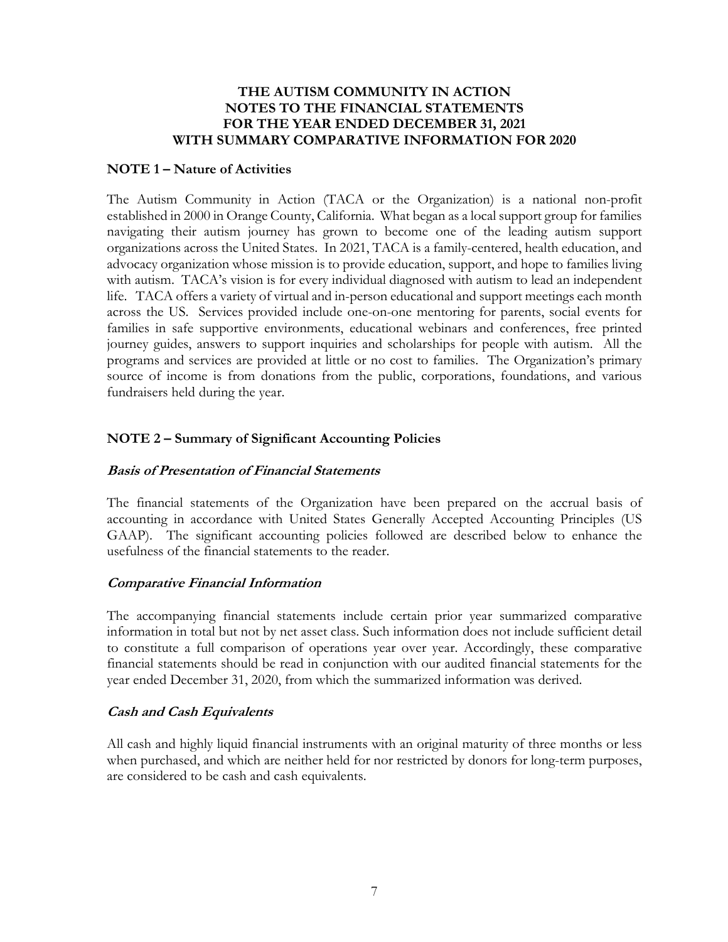### **NOTE 1 – Nature of Activities**

The Autism Community in Action (TACA or the Organization) is a national non-profit established in 2000 in Orange County, California. What began as a local support group for families navigating their autism journey has grown to become one of the leading autism support organizations across the United States. In 2021, TACA is a family-centered, health education, and advocacy organization whose mission is to provide education, support, and hope to families living with autism. TACA's vision is for every individual diagnosed with autism to lead an independent life. TACA offers a variety of virtual and in-person educational and support meetings each month across the US. Services provided include one-on-one mentoring for parents, social events for families in safe supportive environments, educational webinars and conferences, free printed journey guides, answers to support inquiries and scholarships for people with autism. All the programs and services are provided at little or no cost to families. The Organization's primary source of income is from donations from the public, corporations, foundations, and various fundraisers held during the year.

### **NOTE 2 – Summary of Significant Accounting Policies**

### **Basis of Presentation of Financial Statements**

The financial statements of the Organization have been prepared on the accrual basis of accounting in accordance with United States Generally Accepted Accounting Principles (US GAAP). The significant accounting policies followed are described below to enhance the usefulness of the financial statements to the reader.

## **Comparative Financial Information**

The accompanying financial statements include certain prior year summarized comparative information in total but not by net asset class. Such information does not include sufficient detail to constitute a full comparison of operations year over year. Accordingly, these comparative financial statements should be read in conjunction with our audited financial statements for the year ended December 31, 2020, from which the summarized information was derived.

### **Cash and Cash Equivalents**

All cash and highly liquid financial instruments with an original maturity of three months or less when purchased, and which are neither held for nor restricted by donors for long-term purposes, are considered to be cash and cash equivalents.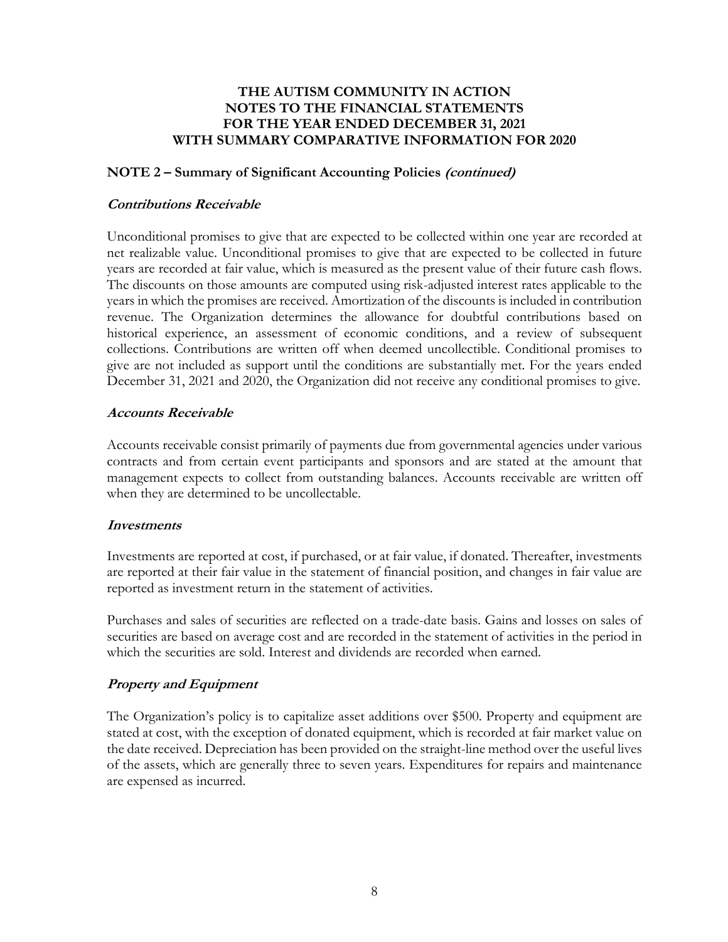### **NOTE 2 – Summary of Significant Accounting Policies (continued)**

#### **Contributions Receivable**

Unconditional promises to give that are expected to be collected within one year are recorded at net realizable value. Unconditional promises to give that are expected to be collected in future years are recorded at fair value, which is measured as the present value of their future cash flows. The discounts on those amounts are computed using risk-adjusted interest rates applicable to the years in which the promises are received. Amortization of the discounts is included in contribution revenue. The Organization determines the allowance for doubtful contributions based on historical experience, an assessment of economic conditions, and a review of subsequent collections. Contributions are written off when deemed uncollectible. Conditional promises to give are not included as support until the conditions are substantially met. For the years ended December 31, 2021 and 2020, the Organization did not receive any conditional promises to give.

### **Accounts Receivable**

Accounts receivable consist primarily of payments due from governmental agencies under various contracts and from certain event participants and sponsors and are stated at the amount that management expects to collect from outstanding balances. Accounts receivable are written off when they are determined to be uncollectable.

### **Investments**

Investments are reported at cost, if purchased, or at fair value, if donated. Thereafter, investments are reported at their fair value in the statement of financial position, and changes in fair value are reported as investment return in the statement of activities.

Purchases and sales of securities are reflected on a trade-date basis. Gains and losses on sales of securities are based on average cost and are recorded in the statement of activities in the period in which the securities are sold. Interest and dividends are recorded when earned.

### **Property and Equipment**

The Organization's policy is to capitalize asset additions over \$500. Property and equipment are stated at cost, with the exception of donated equipment, which is recorded at fair market value on the date received. Depreciation has been provided on the straight-line method over the useful lives of the assets, which are generally three to seven years. Expenditures for repairs and maintenance are expensed as incurred.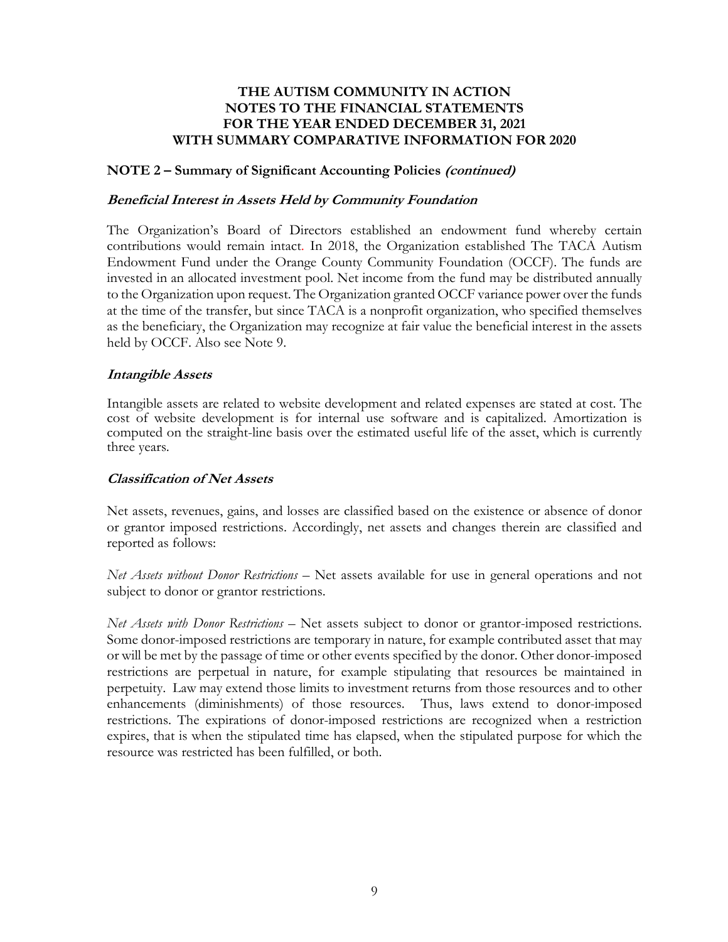### **NOTE 2 – Summary of Significant Accounting Policies (continued)**

#### **Beneficial Interest in Assets Held by Community Foundation**

The Organization's Board of Directors established an endowment fund whereby certain contributions would remain intact. In 2018, the Organization established The TACA Autism Endowment Fund under the Orange County Community Foundation (OCCF). The funds are invested in an allocated investment pool. Net income from the fund may be distributed annually to the Organization upon request. The Organization granted OCCF variance power over the funds at the time of the transfer, but since TACA is a nonprofit organization, who specified themselves as the beneficiary, the Organization may recognize at fair value the beneficial interest in the assets held by OCCF. Also see Note 9.

### **Intangible Assets**

Intangible assets are related to website development and related expenses are stated at cost. The cost of website development is for internal use software and is capitalized. Amortization is computed on the straight-line basis over the estimated useful life of the asset, which is currently three years.

#### **Classification of Net Assets**

Net assets, revenues, gains, and losses are classified based on the existence or absence of donor or grantor imposed restrictions. Accordingly, net assets and changes therein are classified and reported as follows:

*Net Assets without Donor Restrictions* – Net assets available for use in general operations and not subject to donor or grantor restrictions.

*Net Assets with Donor Restrictions* – Net assets subject to donor or grantor-imposed restrictions. Some donor-imposed restrictions are temporary in nature, for example contributed asset that may or will be met by the passage of time or other events specified by the donor. Other donor-imposed restrictions are perpetual in nature, for example stipulating that resources be maintained in perpetuity. Law may extend those limits to investment returns from those resources and to other enhancements (diminishments) of those resources. Thus, laws extend to donor-imposed restrictions. The expirations of donor-imposed restrictions are recognized when a restriction expires, that is when the stipulated time has elapsed, when the stipulated purpose for which the resource was restricted has been fulfilled, or both.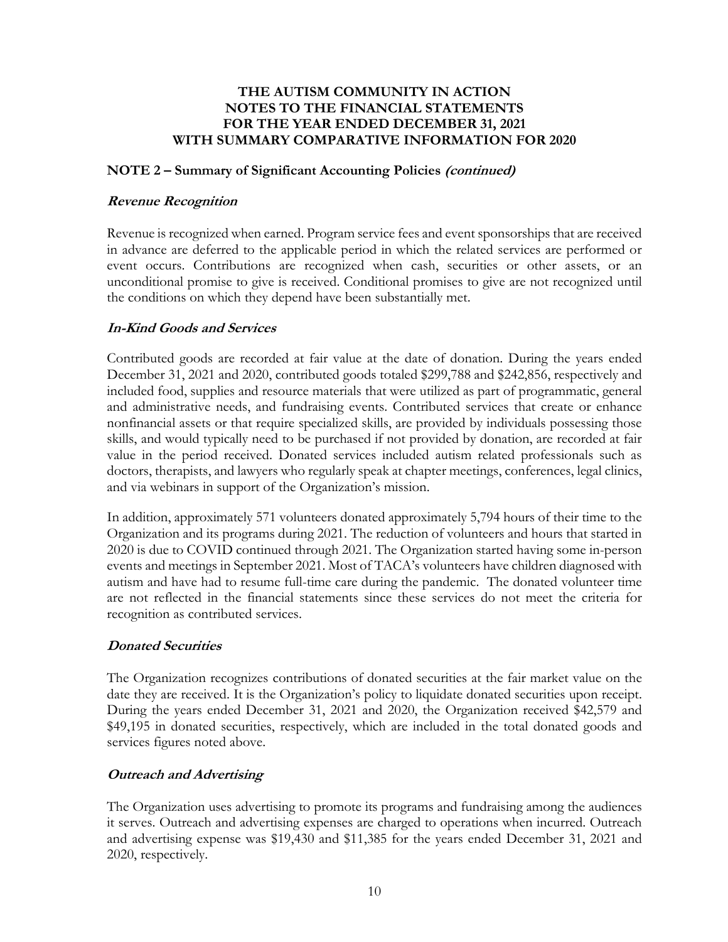### **NOTE 2 – Summary of Significant Accounting Policies (continued)**

### **Revenue Recognition**

Revenue is recognized when earned. Program service fees and event sponsorships that are received in advance are deferred to the applicable period in which the related services are performed or event occurs. Contributions are recognized when cash, securities or other assets, or an unconditional promise to give is received. Conditional promises to give are not recognized until the conditions on which they depend have been substantially met.

### **In-Kind Goods and Services**

Contributed goods are recorded at fair value at the date of donation. During the years ended December 31, 2021 and 2020, contributed goods totaled \$299,788 and \$242,856, respectively and included food, supplies and resource materials that were utilized as part of programmatic, general and administrative needs, and fundraising events. Contributed services that create or enhance nonfinancial assets or that require specialized skills, are provided by individuals possessing those skills, and would typically need to be purchased if not provided by donation, are recorded at fair value in the period received. Donated services included autism related professionals such as doctors, therapists, and lawyers who regularly speak at chapter meetings, conferences, legal clinics, and via webinars in support of the Organization's mission.

In addition, approximately 571 volunteers donated approximately 5,794 hours of their time to the Organization and its programs during 2021. The reduction of volunteers and hours that started in 2020 is due to COVID continued through 2021. The Organization started having some in-person events and meetings in September 2021. Most of TACA's volunteers have children diagnosed with autism and have had to resume full-time care during the pandemic. The donated volunteer time are not reflected in the financial statements since these services do not meet the criteria for recognition as contributed services.

### **Donated Securities**

The Organization recognizes contributions of donated securities at the fair market value on the date they are received. It is the Organization's policy to liquidate donated securities upon receipt. During the years ended December 31, 2021 and 2020, the Organization received \$42,579 and \$49,195 in donated securities, respectively, which are included in the total donated goods and services figures noted above.

### **Outreach and Advertising**

The Organization uses advertising to promote its programs and fundraising among the audiences it serves. Outreach and advertising expenses are charged to operations when incurred. Outreach and advertising expense was \$19,430 and \$11,385 for the years ended December 31, 2021 and 2020, respectively.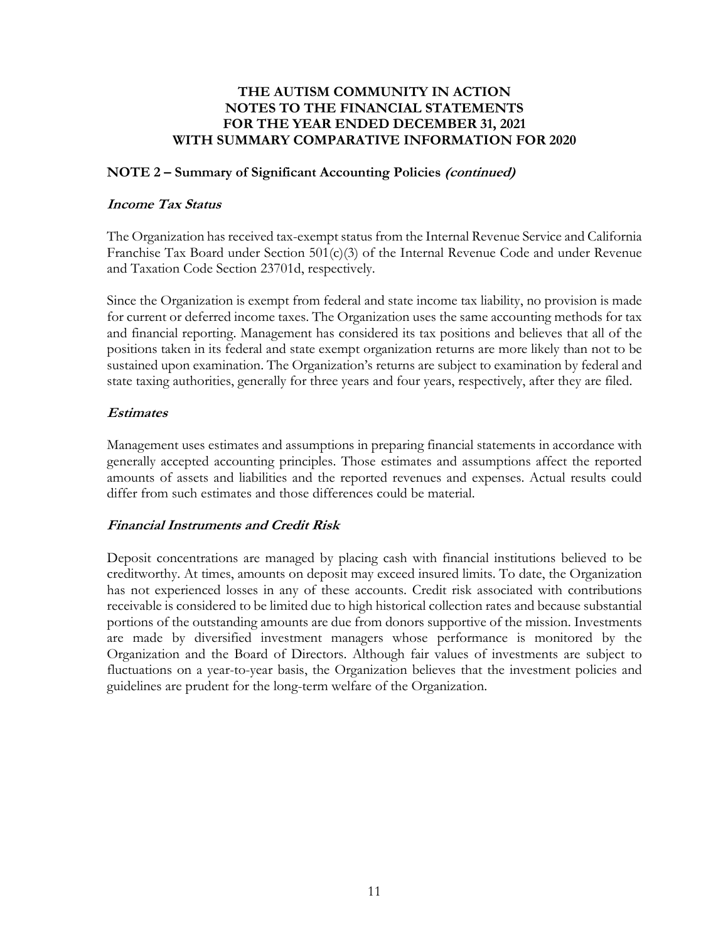### **NOTE 2 – Summary of Significant Accounting Policies (continued)**

#### **Income Tax Status**

The Organization has received tax-exempt status from the Internal Revenue Service and California Franchise Tax Board under Section 501(c)(3) of the Internal Revenue Code and under Revenue and Taxation Code Section 23701d, respectively.

Since the Organization is exempt from federal and state income tax liability, no provision is made for current or deferred income taxes. The Organization uses the same accounting methods for tax and financial reporting. Management has considered its tax positions and believes that all of the positions taken in its federal and state exempt organization returns are more likely than not to be sustained upon examination. The Organization's returns are subject to examination by federal and state taxing authorities, generally for three years and four years, respectively, after they are filed.

### **Estimates**

Management uses estimates and assumptions in preparing financial statements in accordance with generally accepted accounting principles. Those estimates and assumptions affect the reported amounts of assets and liabilities and the reported revenues and expenses. Actual results could differ from such estimates and those differences could be material.

### **Financial Instruments and Credit Risk**

Deposit concentrations are managed by placing cash with financial institutions believed to be creditworthy. At times, amounts on deposit may exceed insured limits. To date, the Organization has not experienced losses in any of these accounts. Credit risk associated with contributions receivable is considered to be limited due to high historical collection rates and because substantial portions of the outstanding amounts are due from donors supportive of the mission. Investments are made by diversified investment managers whose performance is monitored by the Organization and the Board of Directors. Although fair values of investments are subject to fluctuations on a year-to-year basis, the Organization believes that the investment policies and guidelines are prudent for the long-term welfare of the Organization.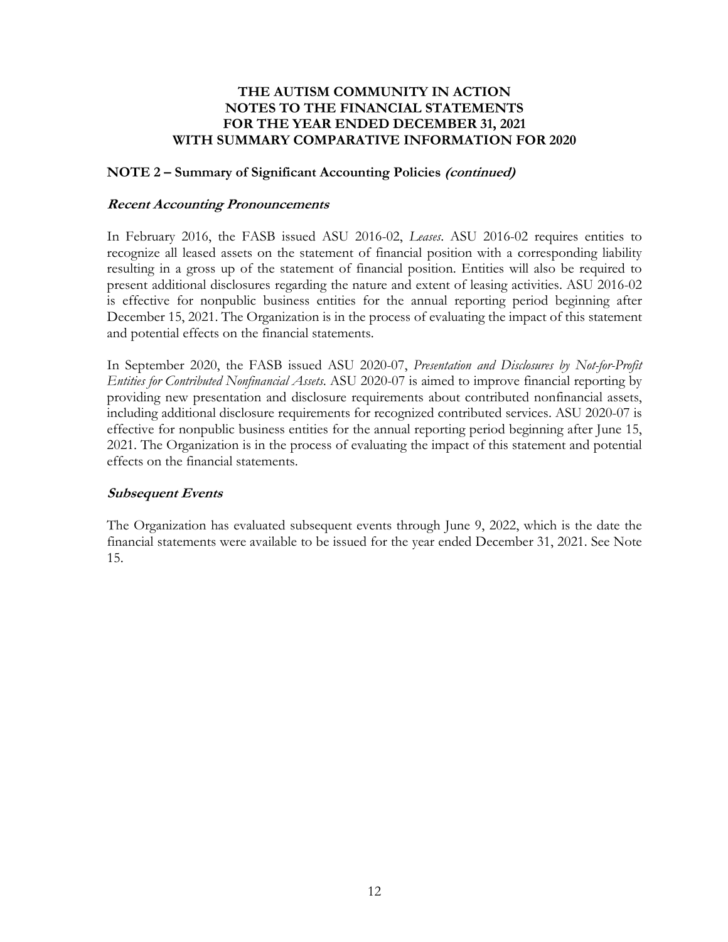### **NOTE 2 – Summary of Significant Accounting Policies (continued)**

#### **Recent Accounting Pronouncements**

In February 2016, the FASB issued ASU 2016-02, *Leases*. ASU 2016-02 requires entities to recognize all leased assets on the statement of financial position with a corresponding liability resulting in a gross up of the statement of financial position. Entities will also be required to present additional disclosures regarding the nature and extent of leasing activities. ASU 2016-02 is effective for nonpublic business entities for the annual reporting period beginning after December 15, 2021. The Organization is in the process of evaluating the impact of this statement and potential effects on the financial statements.

In September 2020, the FASB issued ASU 2020-07, *Presentation and Disclosures by Not-for-Profit Entities for Contributed Nonfinancial Assets*. ASU 2020-07 is aimed to improve financial reporting by providing new presentation and disclosure requirements about contributed nonfinancial assets, including additional disclosure requirements for recognized contributed services. ASU 2020-07 is effective for nonpublic business entities for the annual reporting period beginning after June 15, 2021. The Organization is in the process of evaluating the impact of this statement and potential effects on the financial statements.

### **Subsequent Events**

The Organization has evaluated subsequent events through June 9, 2022, which is the date the financial statements were available to be issued for the year ended December 31, 2021. See Note 15.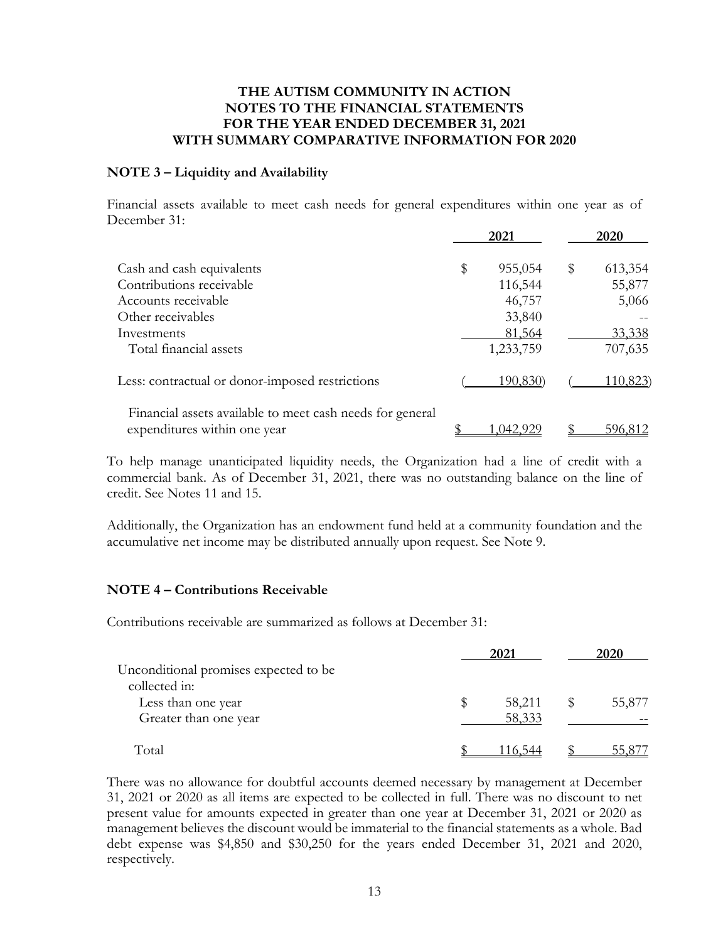### **NOTE 3 – Liquidity and Availability**

Financial assets available to meet cash needs for general expenditures within one year as of December 31:

|                                                                                           | 2021           | 2020             |
|-------------------------------------------------------------------------------------------|----------------|------------------|
| Cash and cash equivalents                                                                 | \$<br>955,054  | \$<br>613,354    |
| Contributions receivable                                                                  | 116,544        | 55,877           |
| Accounts receivable                                                                       | 46,757         | 5,066            |
| Other receivables                                                                         | 33,840         |                  |
| Investments                                                                               | 81,564         | 33,338           |
| Total financial assets                                                                    | 1,233,759      | 707,635          |
| Less: contractual or donor-imposed restrictions                                           | <u>190,830</u> | <u>110,823</u> ) |
| Financial assets available to meet cash needs for general<br>expenditures within one year | (142)          | 596.812          |

To help manage unanticipated liquidity needs, the Organization had a line of credit with a commercial bank. As of December 31, 2021, there was no outstanding balance on the line of credit. See Notes 11 and 15.

Additionally, the Organization has an endowment fund held at a community foundation and the accumulative net income may be distributed annually upon request. See Note 9.

### **NOTE 4 – Contributions Receivable**

Contributions receivable are summarized as follows at December 31:

|                                       | 2021   |   | 2020   |
|---------------------------------------|--------|---|--------|
| Unconditional promises expected to be |        |   |        |
| collected in:                         |        |   |        |
| Less than one year                    | 58,211 | S | 55,877 |
| Greater than one year                 | 58,333 |   |        |
| Total                                 |        |   |        |

There was no allowance for doubtful accounts deemed necessary by management at December 31, 2021 or 2020 as all items are expected to be collected in full. There was no discount to net present value for amounts expected in greater than one year at December 31, 2021 or 2020 as management believes the discount would be immaterial to the financial statements as a whole. Bad debt expense was \$4,850 and \$30,250 for the years ended December 31, 2021 and 2020, respectively.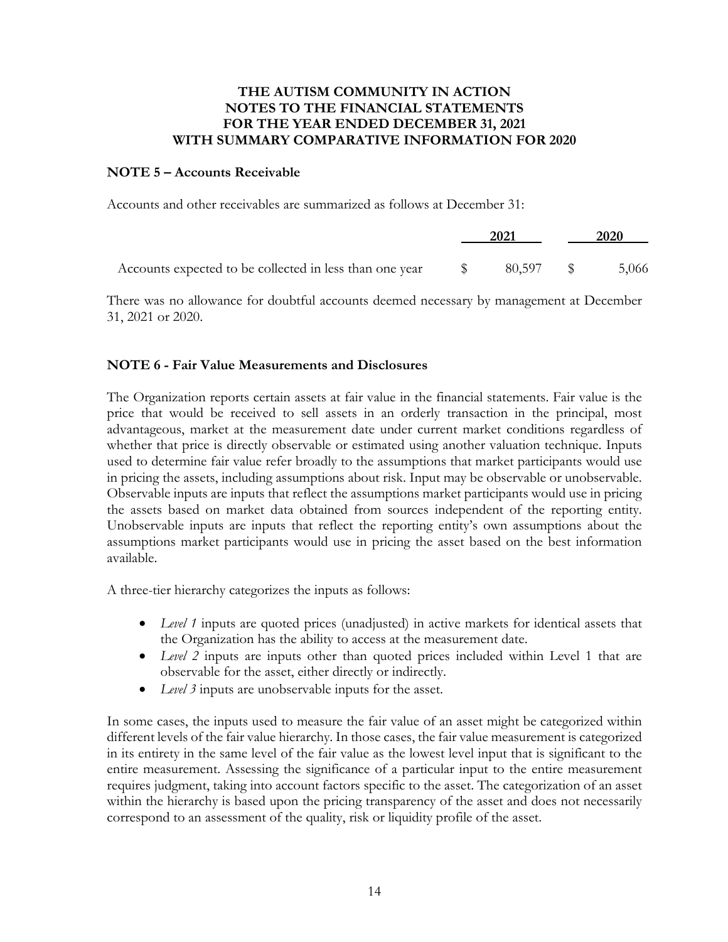### **NOTE 5 – Accounts Receivable**

Accounts and other receivables are summarized as follows at December 31:

|                                                         | 2021      | <b>2020</b> |
|---------------------------------------------------------|-----------|-------------|
|                                                         |           |             |
| Accounts expected to be collected in less than one year | 80,597 \$ | 5,066       |

There was no allowance for doubtful accounts deemed necessary by management at December 31, 2021 or 2020.

### **NOTE 6 - Fair Value Measurements and Disclosures**

The Organization reports certain assets at fair value in the financial statements. Fair value is the price that would be received to sell assets in an orderly transaction in the principal, most advantageous, market at the measurement date under current market conditions regardless of whether that price is directly observable or estimated using another valuation technique. Inputs used to determine fair value refer broadly to the assumptions that market participants would use in pricing the assets, including assumptions about risk. Input may be observable or unobservable. Observable inputs are inputs that reflect the assumptions market participants would use in pricing the assets based on market data obtained from sources independent of the reporting entity. Unobservable inputs are inputs that reflect the reporting entity's own assumptions about the assumptions market participants would use in pricing the asset based on the best information available.

A three-tier hierarchy categorizes the inputs as follows:

- Level 1 inputs are quoted prices (unadjusted) in active markets for identical assets that the Organization has the ability to access at the measurement date.
- *Level 2* inputs are inputs other than quoted prices included within Level 1 that are observable for the asset, either directly or indirectly.
- *Level 3* inputs are unobservable inputs for the asset.

In some cases, the inputs used to measure the fair value of an asset might be categorized within different levels of the fair value hierarchy. In those cases, the fair value measurement is categorized in its entirety in the same level of the fair value as the lowest level input that is significant to the entire measurement. Assessing the significance of a particular input to the entire measurement requires judgment, taking into account factors specific to the asset. The categorization of an asset within the hierarchy is based upon the pricing transparency of the asset and does not necessarily correspond to an assessment of the quality, risk or liquidity profile of the asset.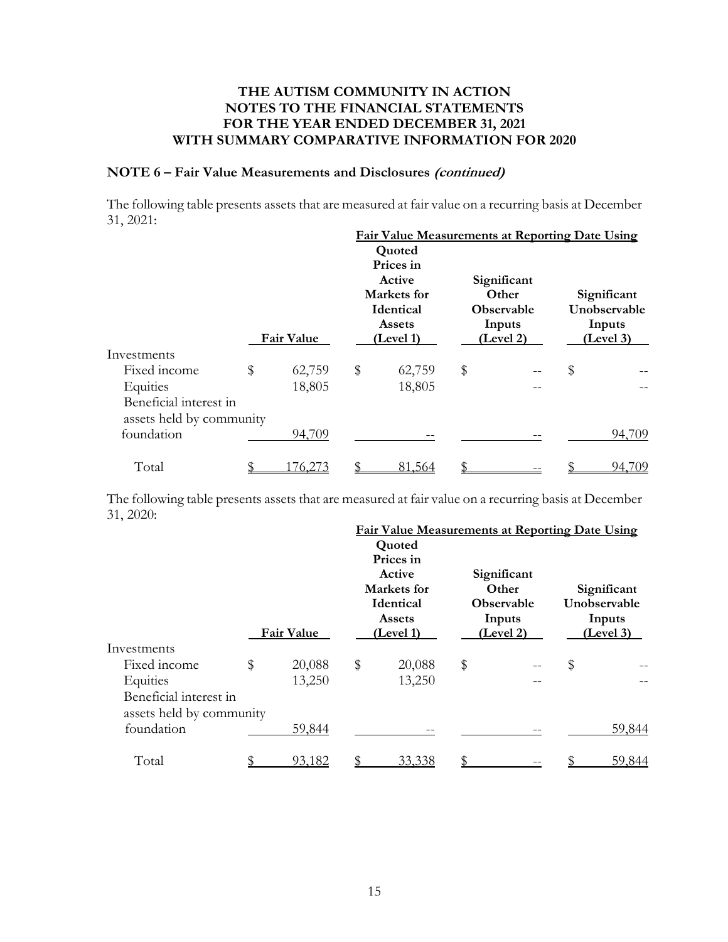#### **NOTE 6 – Fair Value Measurements and Disclosures (continued)**

The following table presents assets that are measured at fair value on a recurring basis at December 31, 2021:

|                          |    | <b>Fair Value Measurements at Reporting Date Using</b> |    |                     |    |                     |                     |              |  |
|--------------------------|----|--------------------------------------------------------|----|---------------------|----|---------------------|---------------------|--------------|--|
|                          |    |                                                        |    | Quoted              |    |                     |                     |              |  |
|                          |    |                                                        |    | Prices in           |    |                     |                     |              |  |
|                          |    |                                                        |    | Active              |    | Significant         |                     |              |  |
|                          |    | <b>Fair Value</b>                                      |    | Markets for         |    | Other               |                     | Significant  |  |
|                          |    |                                                        |    | Identical           |    | <b>Observable</b>   |                     | Unobservable |  |
|                          |    |                                                        |    | Assets<br>(Level 1) |    | Inputs<br>(Level 2) | Inputs<br>(Level 3) |              |  |
| Investments              |    |                                                        |    |                     |    |                     |                     |              |  |
| Fixed income             | \$ | 62,759                                                 | \$ | 62,759              | \$ |                     | \$                  |              |  |
| Equities                 |    | 18,805                                                 |    | 18,805              |    |                     |                     |              |  |
| Beneficial interest in   |    |                                                        |    |                     |    |                     |                     |              |  |
| assets held by community |    |                                                        |    |                     |    |                     |                     |              |  |
| foundation               |    | 94,709                                                 |    |                     |    |                     |                     | 94,709       |  |
| Total                    |    | O.                                                     |    | 81,564              |    |                     |                     | 94,709       |  |

The following table presents assets that are measured at fair value on a recurring basis at December 31, 2020:

|                                                    |                   |    | <b>Fair Value Measurements at Reporting Date Using</b><br>Quoted<br>Prices in<br>Active<br>Markets for<br><b>Identical</b><br><b>Assets</b> |           | Significant<br>Other<br><b>Observable</b><br>Inputs |           | Significant<br>Unobservable<br>Inputs |
|----------------------------------------------------|-------------------|----|---------------------------------------------------------------------------------------------------------------------------------------------|-----------|-----------------------------------------------------|-----------|---------------------------------------|
|                                                    | <b>Fair Value</b> |    | (Level 1)                                                                                                                                   | (Level 2) |                                                     | (Level 3) |                                       |
| Investments                                        |                   |    |                                                                                                                                             |           |                                                     |           |                                       |
| Fixed income                                       | \$<br>20,088      | \$ | 20,088                                                                                                                                      | \$        |                                                     | \$        |                                       |
| Equities                                           | 13,250            |    | 13,250                                                                                                                                      |           |                                                     |           |                                       |
| Beneficial interest in<br>assets held by community |                   |    |                                                                                                                                             |           |                                                     |           |                                       |
| foundation                                         | 59,844            |    |                                                                                                                                             |           |                                                     |           | 59,844                                |
| Total                                              | 93,182            |    | 33,338                                                                                                                                      |           |                                                     |           | 59,844                                |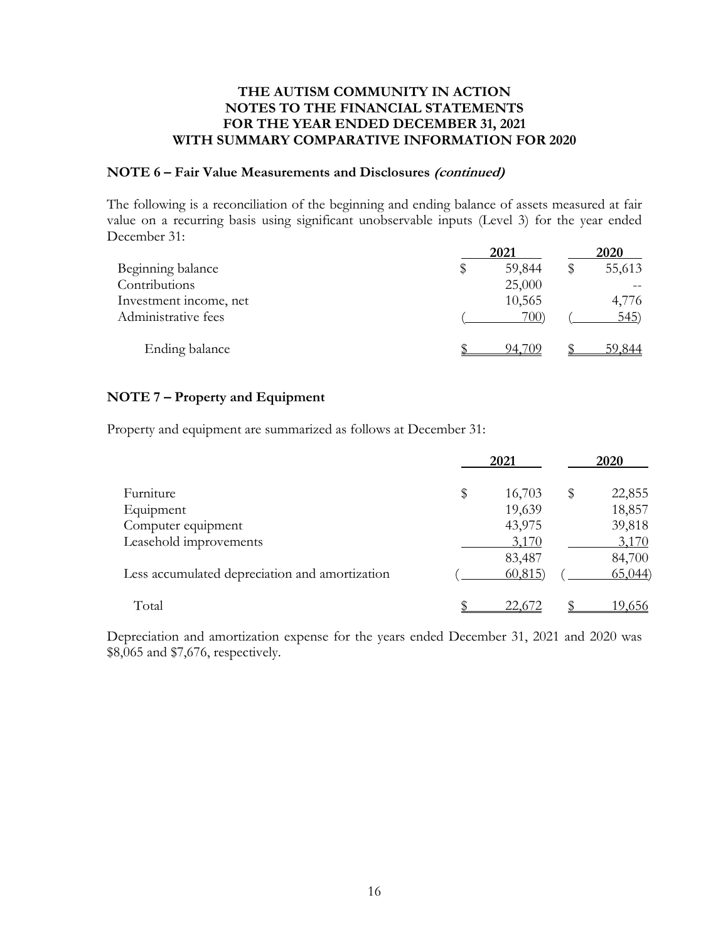#### **NOTE 6 – Fair Value Measurements and Disclosures (continued)**

The following is a reconciliation of the beginning and ending balance of assets measured at fair value on a recurring basis using significant unobservable inputs (Level 3) for the year ended December 31:

|                        | 2021   | 2020   |
|------------------------|--------|--------|
| Beginning balance      | 59,844 | 55,613 |
| Contributions          | 25,000 |        |
| Investment income, net | 10,565 | 4,776  |
| Administrative fees    | 700`   | 545)   |
| Ending balance         | 94.709 | 59 844 |

## **NOTE 7 – Property and Equipment**

Property and equipment are summarized as follows at December 31:

|                                                | 2021         | 2020         |
|------------------------------------------------|--------------|--------------|
| Furniture                                      | \$<br>16,703 | \$<br>22,855 |
| Equipment                                      | 19,639       | 18,857       |
| Computer equipment                             | 43,975       | 39,818       |
| Leasehold improvements                         | 3,170        | 3,170        |
|                                                | 83,487       | 84,700       |
| Less accumulated depreciation and amortization | 60,815       | 65,044       |
| Total                                          |              | 9.656        |

Depreciation and amortization expense for the years ended December 31, 2021 and 2020 was \$8,065 and \$7,676, respectively.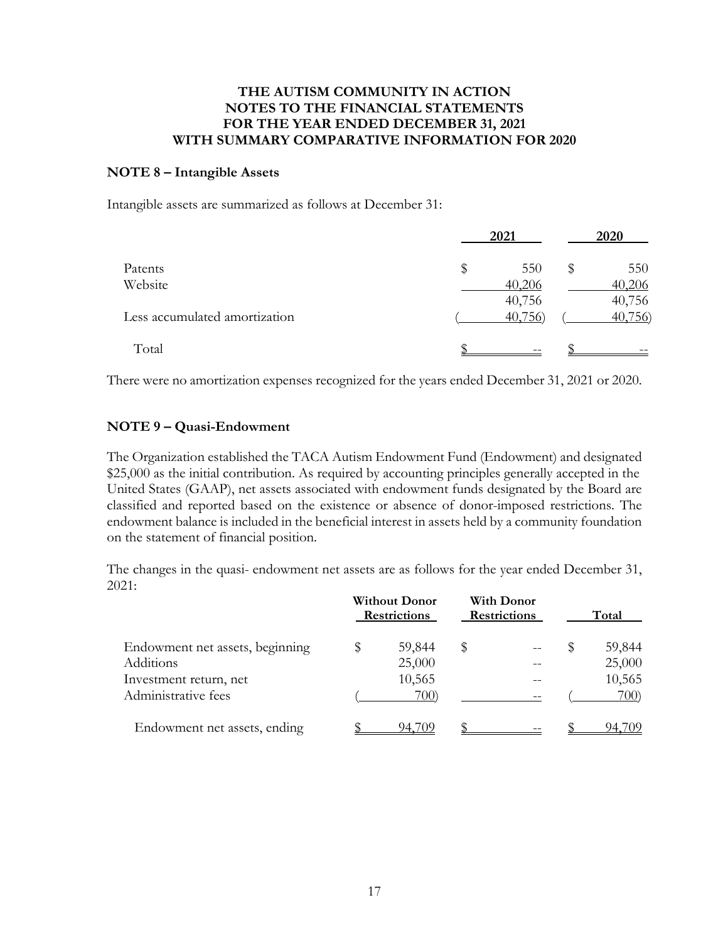#### **NOTE 8 – Intangible Assets**

Intangible assets are summarized as follows at December 31:

|                               | 2021 | 2020   |  |        |
|-------------------------------|------|--------|--|--------|
| Patents                       | \$   | 550    |  | 550    |
| Website                       |      | 40,206 |  | 40,206 |
|                               |      | 40,756 |  | 40,756 |
| Less accumulated amortization |      | 40,756 |  | 40,756 |
| Total                         |      | --     |  |        |

There were no amortization expenses recognized for the years ended December 31, 2021 or 2020.

### **NOTE 9 – Quasi-Endowment**

The Organization established the TACA Autism Endowment Fund (Endowment) and designated \$25,000 as the initial contribution. As required by accounting principles generally accepted in the United States (GAAP), net assets associated with endowment funds designated by the Board are classified and reported based on the existence or absence of donor-imposed restrictions. The endowment balance is included in the beneficial interest in assets held by a community foundation on the statement of financial position.

The changes in the quasi- endowment net assets are as follows for the year ended December 31,  $2021$ 

|                                               | <b>Without Donor</b><br>Restrictions | With Donor<br>Restrictions | Total            |
|-----------------------------------------------|--------------------------------------|----------------------------|------------------|
| Endowment net assets, beginning<br>Additions  | 59,844<br>25,000                     | \$                         | 59,844<br>25,000 |
| Investment return, net<br>Administrative fees | 10,565<br>700)                       |                            | 10,565<br>700    |
| Endowment net assets, ending                  | 94 709                               |                            |                  |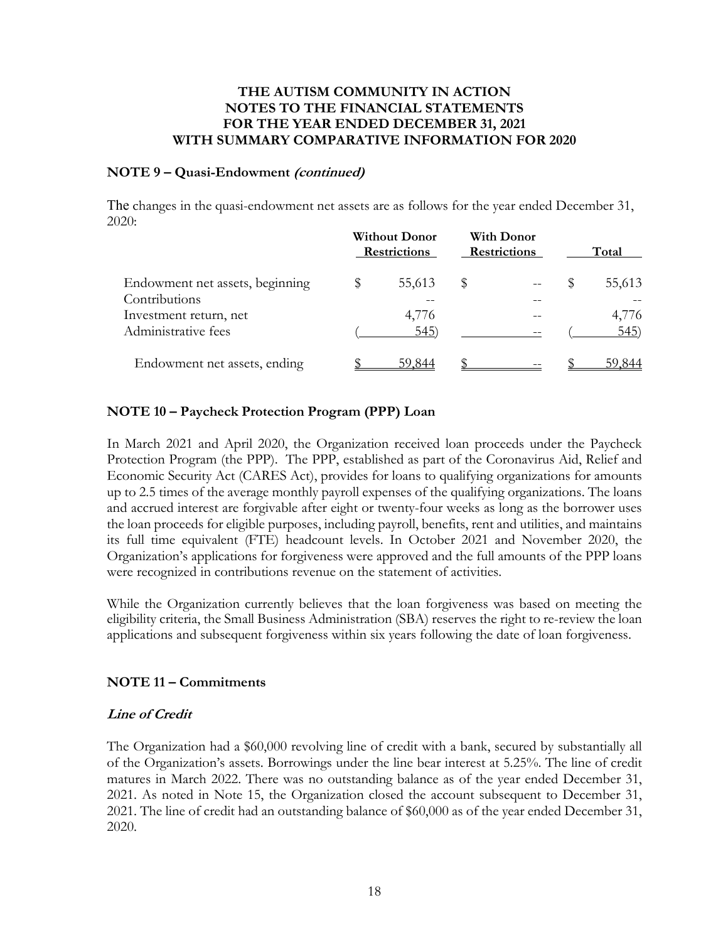#### **NOTE 9 – Quasi-Endowment (continued)**

The changes in the quasi-endowment net assets are as follows for the year ended December 31, 2020:

|                                 | <b>Without Donor</b><br><b>Restrictions</b> |   | <b>With Donor</b><br><b>Restrictions</b> | Total  |
|---------------------------------|---------------------------------------------|---|------------------------------------------|--------|
| Endowment net assets, beginning | 55,613                                      | ₩ |                                          | 55,613 |
| Contributions                   |                                             |   |                                          |        |
| Investment return, net          | 4,776                                       |   |                                          | 4,776  |
| Administrative fees             | 545)                                        |   |                                          | 545)   |
| Endowment net assets, ending    | 59.844                                      |   |                                          | 59.    |

### **NOTE 10 – Paycheck Protection Program (PPP) Loan**

In March 2021 and April 2020, the Organization received loan proceeds under the Paycheck Protection Program (the PPP). The PPP, established as part of the Coronavirus Aid, Relief and Economic Security Act (CARES Act), provides for loans to qualifying organizations for amounts up to 2.5 times of the average monthly payroll expenses of the qualifying organizations. The loans and accrued interest are forgivable after eight or twenty-four weeks as long as the borrower uses the loan proceeds for eligible purposes, including payroll, benefits, rent and utilities, and maintains its full time equivalent (FTE) headcount levels. In October 2021 and November 2020, the Organization's applications for forgiveness were approved and the full amounts of the PPP loans were recognized in contributions revenue on the statement of activities.

While the Organization currently believes that the loan forgiveness was based on meeting the eligibility criteria, the Small Business Administration (SBA) reserves the right to re-review the loan applications and subsequent forgiveness within six years following the date of loan forgiveness.

#### **NOTE 11 – Commitments**

#### **Line of Credit**

The Organization had a \$60,000 revolving line of credit with a bank, secured by substantially all of the Organization's assets. Borrowings under the line bear interest at 5.25%. The line of credit matures in March 2022. There was no outstanding balance as of the year ended December 31, 2021. As noted in Note 15, the Organization closed the account subsequent to December 31, 2021. The line of credit had an outstanding balance of \$60,000 as of the year ended December 31, 2020.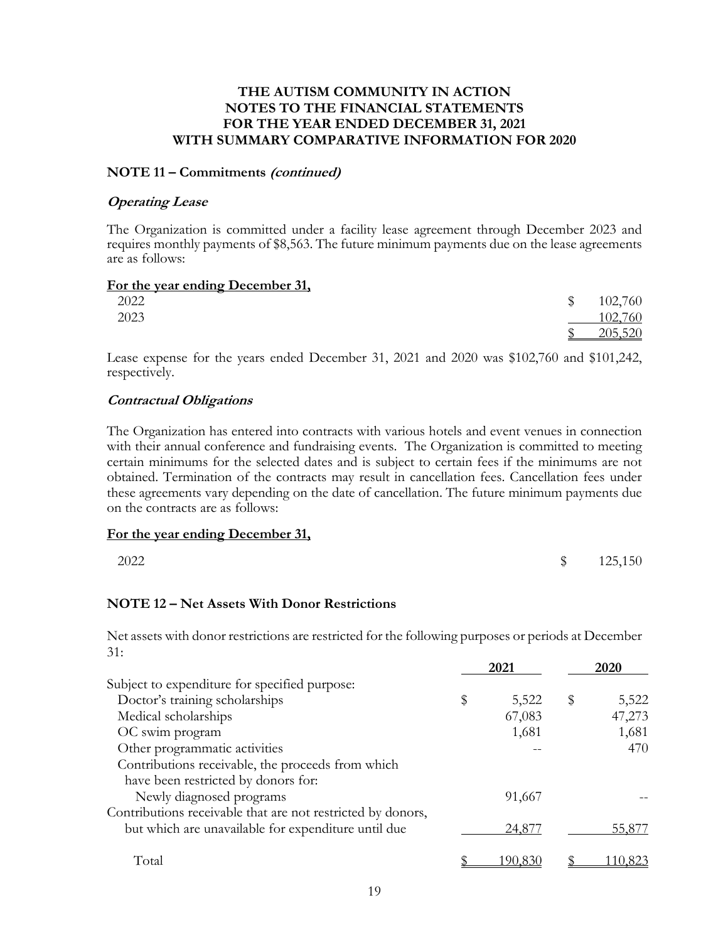#### **NOTE 11 – Commitments (continued)**

#### **Operating Lease**

The Organization is committed under a facility lease agreement through December 2023 and requires monthly payments of \$8,563. The future minimum payments due on the lease agreements are as follows:

#### **For the year ending December 31,**

| 2022 | ຼ | $\mathbb{S}$ | 102,760 |
|------|---|--------------|---------|
| 2023 |   |              | 102,760 |
|      |   |              | 205,520 |

Lease expense for the years ended December 31, 2021 and 2020 was \$102,760 and \$101,242, respectively.

#### **Contractual Obligations**

The Organization has entered into contracts with various hotels and event venues in connection with their annual conference and fundraising events. The Organization is committed to meeting certain minimums for the selected dates and is subject to certain fees if the minimums are not obtained. Termination of the contracts may result in cancellation fees. Cancellation fees under these agreements vary depending on the date of cancellation. The future minimum payments due on the contracts are as follows:

#### **For the year ending December 31,**

| 2022 |  | \$ 125,150 |
|------|--|------------|
|------|--|------------|

#### **NOTE 12 – Net Assets With Donor Restrictions**

Net assets with donor restrictions are restricted for the following purposes or periods at December 31:

|                                                             | 2021        | 2020        |
|-------------------------------------------------------------|-------------|-------------|
| Subject to expenditure for specified purpose:               |             |             |
| Doctor's training scholarships                              | \$<br>5,522 | \$<br>5,522 |
| Medical scholarships                                        | 67,083      | 47,273      |
| OC swim program                                             | 1,681       | 1,681       |
| Other programmatic activities                               |             | 470         |
| Contributions receivable, the proceeds from which           |             |             |
| have been restricted by donors for:                         |             |             |
| Newly diagnosed programs                                    | 91,667      |             |
| Contributions receivable that are not restricted by donors, |             |             |
| but which are unavailable for expenditure until due         | 24,877      | 55,877      |
| Total                                                       | 190.830     | 110.823     |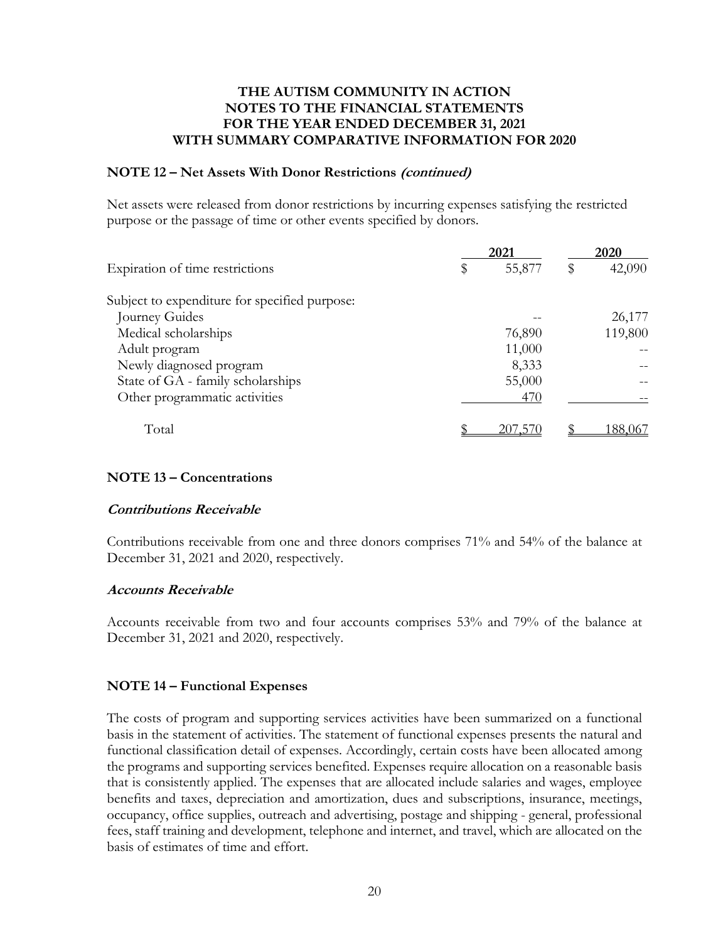### **NOTE 12 – Net Assets With Donor Restrictions (continued)**

Net assets were released from donor restrictions by incurring expenses satisfying the restricted purpose or the passage of time or other events specified by donors.

|                                               | 2021 | 2020    |    |         |
|-----------------------------------------------|------|---------|----|---------|
| Expiration of time restrictions               | \$   | 55,877  | \$ | 42,090  |
| Subject to expenditure for specified purpose: |      |         |    |         |
| Journey Guides                                |      |         |    | 26,177  |
| Medical scholarships                          |      | 76,890  |    | 119,800 |
| Adult program                                 |      | 11,000  |    |         |
| Newly diagnosed program                       |      | 8,333   |    |         |
| State of GA - family scholarships             |      | 55,000  |    |         |
| Other programmatic activities                 |      | 470     |    |         |
| Total                                         |      | 207.570 |    | 88.067  |

### **NOTE 13 – Concentrations**

### **Contributions Receivable**

Contributions receivable from one and three donors comprises 71% and 54% of the balance at December 31, 2021 and 2020, respectively.

### **Accounts Receivable**

Accounts receivable from two and four accounts comprises 53% and 79% of the balance at December 31, 2021 and 2020, respectively.

### **NOTE 14 – Functional Expenses**

The costs of program and supporting services activities have been summarized on a functional basis in the statement of activities. The statement of functional expenses presents the natural and functional classification detail of expenses. Accordingly, certain costs have been allocated among the programs and supporting services benefited. Expenses require allocation on a reasonable basis that is consistently applied. The expenses that are allocated include salaries and wages, employee benefits and taxes, depreciation and amortization, dues and subscriptions, insurance, meetings, occupancy, office supplies, outreach and advertising, postage and shipping - general, professional fees, staff training and development, telephone and internet, and travel, which are allocated on the basis of estimates of time and effort.